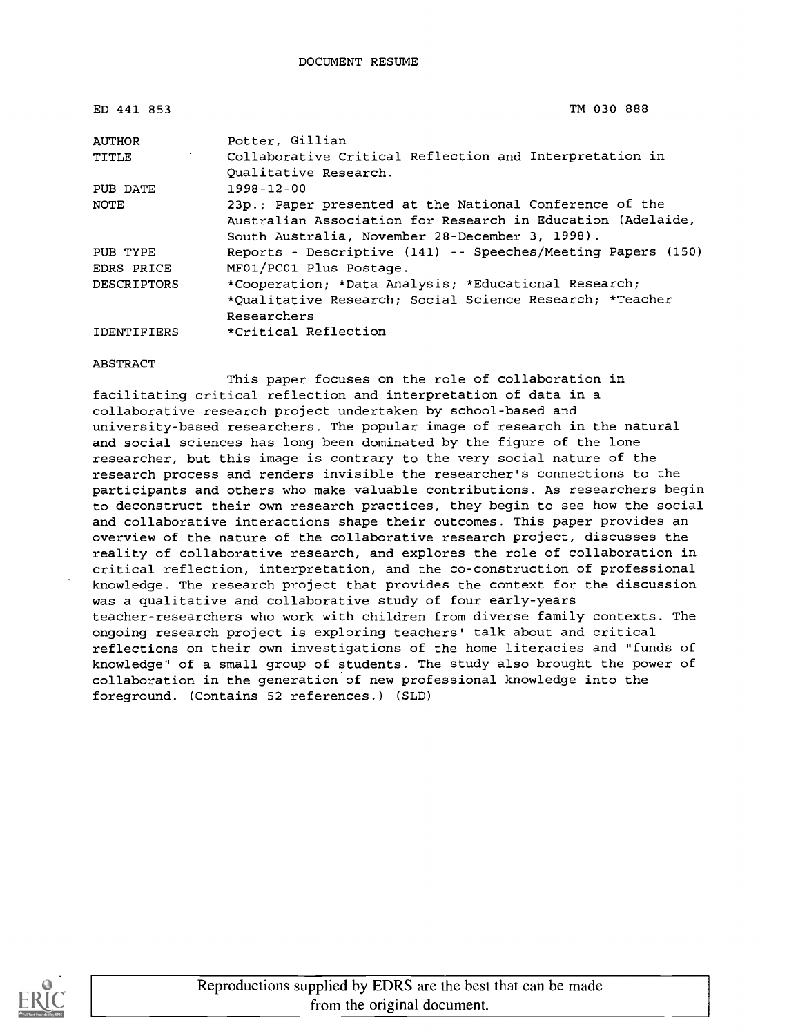| ED 441 853         | TM 030 888                                                                                                                                                                |
|--------------------|---------------------------------------------------------------------------------------------------------------------------------------------------------------------------|
| <b>AUTHOR</b>      | Potter, Gillian                                                                                                                                                           |
| TITLE              | Collaborative Critical Reflection and Interpretation in<br>Qualitative Research.                                                                                          |
| PUB DATE           | $1998 - 12 - 00$                                                                                                                                                          |
| NOTE               | 23p.; Paper presented at the National Conference of the<br>Australian Association for Research in Education (Adelaide,<br>South Australia, November 28-December 3, 1998). |
| PUB TYPE           | Reports - Descriptive (141) -- Speeches/Meeting Papers (150)                                                                                                              |
| EDRS PRICE         | MF01/PC01 Plus Postage.                                                                                                                                                   |
| DESCRIPTORS        | *Cooperation; *Data Analysis; *Educational Research;                                                                                                                      |
|                    | *Qualitative Research; Social Science Research; *Teacher                                                                                                                  |
|                    | Researchers                                                                                                                                                               |
| <b>IDENTIFIERS</b> | *Critical Reflection                                                                                                                                                      |

ABSTRACT

This paper focuses on the role of collaboration in facilitating critical reflection and interpretation of data in a collaborative research project undertaken by school-based and university-based researchers. The popular image of research in the natural and social sciences has long been dominated by the figure of the lone researcher, but this image is contrary to the very social nature of the research process and renders invisible the researcher's connections to the participants and others who make valuable contributions. As researchers begin to deconstruct their own research practices, they begin to see how the social and collaborative interactions shape their outcomes. This paper provides an overview of the nature of the collaborative research project, discusses the reality of collaborative research, and explores the role of collaboration in critical reflection, interpretation, and the co-construction of professional knowledge. The research project that provides the context for the discussion was a qualitative and collaborative study of four early-years teacher-researchers who work with children from diverse family contexts. The ongoing research project is exploring teachers' talk about and critical reflections on their own investigations of the home literacies and "funds of knowledge" of a small group of students. The study also brought the power of collaboration in the generation of new professional knowledge into the foreground. (Contains 52 references.) (SLD)

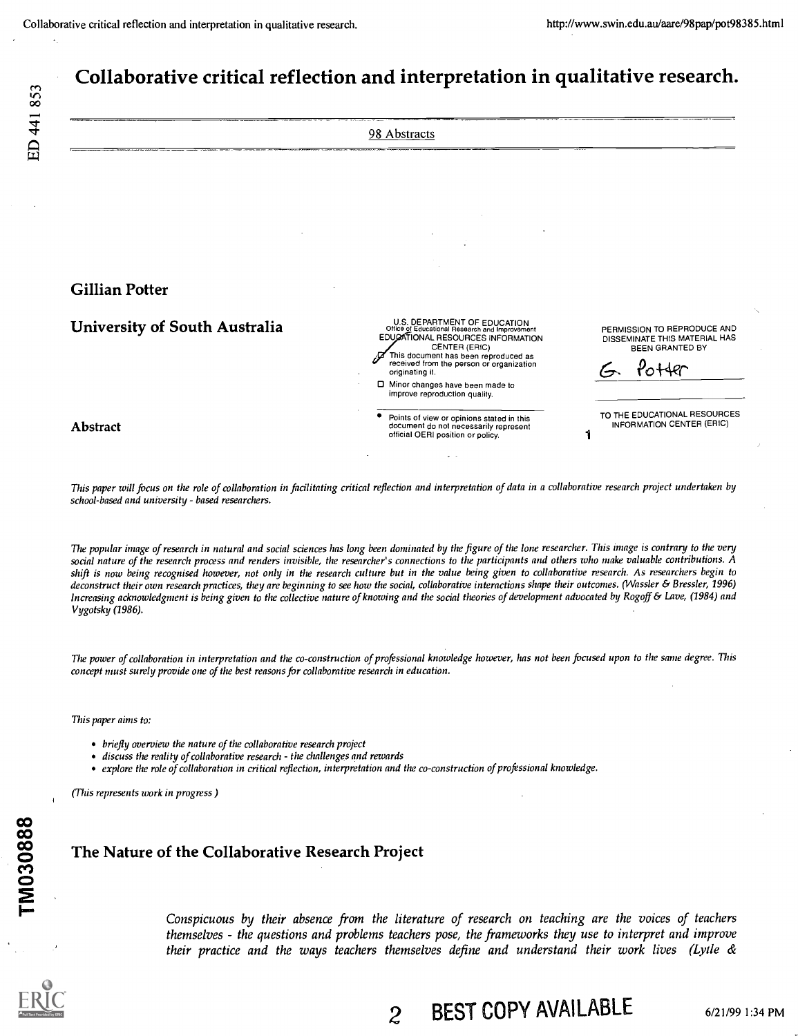# ED 441 853

# Collaborative critical reflection and interpretation in qualitative research.

|                                      | 98 Abstracts                                                                                                                                                                                                                                |                                                                                       |
|--------------------------------------|---------------------------------------------------------------------------------------------------------------------------------------------------------------------------------------------------------------------------------------------|---------------------------------------------------------------------------------------|
|                                      |                                                                                                                                                                                                                                             |                                                                                       |
|                                      |                                                                                                                                                                                                                                             |                                                                                       |
|                                      |                                                                                                                                                                                                                                             |                                                                                       |
|                                      |                                                                                                                                                                                                                                             |                                                                                       |
|                                      |                                                                                                                                                                                                                                             |                                                                                       |
| <b>Gillian Potter</b>                |                                                                                                                                                                                                                                             |                                                                                       |
|                                      |                                                                                                                                                                                                                                             |                                                                                       |
| <b>University of South Australia</b> | U.S. DEPARTMENT OF EDUCATION<br>Office of Educational Research and Improvement<br>EDUCATIONAL RESOURCES INFORMATION<br>CENTER (ERIC)<br>This document has been reproduced as<br>received from the person or organization<br>originating it. | PERMISSION TO REPRODUCE AND<br>DISSEMINATE THIS MATERIAL HAS<br>BEEN GRANTED BY<br>ιь |
|                                      | □ Minor changes have been made to<br>improve reproduction quality.                                                                                                                                                                          |                                                                                       |
| <b>Abstract</b>                      | Points of view or opinions stated in this<br>document do not necessarily represent<br>official OERI position or policy.                                                                                                                     | TO THE EDUCATIONAL RESOURCES<br>INFORMATION CENTER (ERIC)                             |

This paper will focus on the role of collaboration in facilitating critical reflection and interpretation of data in a collaborative research project undertaken by school-based and university - based researchers.

The popular image of research in natural and social sciences has long been dominated by the figure of the lone researcher. This image is contrary to the very social nature of the research process and renders invisible, the researcher's connections to the participants and others who make valuable contributions. A shift is now being recognised however, not only in the research culture but in the value being given to collaborative research. As researchers begin to deconstruct their own research practices, they are beginning to see how the social, collaborative interactions shape their outcomes. (Wassler & Bressler, 1996) Increasing acknowledgment is being given to the collective nature of knowing and the social theories of development advocated by Rogoff & Lave, (1984) and Vygotsky (1986).

The power of collaboration in interpretation and the co-construction of professional knowledge however, has not been focused upon to the same degree. This concept must surely provide one of the best reasons for collaborative research in education.

This paper aims to:

- briefly overview the nature of the collaborative research project
- discuss the reality of collaborative research the challenges and rewards
- explore the role of collaboration in critical reflection, interpretation and the co-construction of professional knowledge.

(This represents work in progress )

## The Nature of the Collaborative Research Project

Conspicuous by their absence from the literature of research on teaching are the voices of teachers themselves - the questions and problems teachers pose, the frameworks they use to interpret and improve their practice and the ways teachers themselves define and understand their work lives (Lytle &



2 BEST COPY AVAILABLE 6/21/99 1:34 PM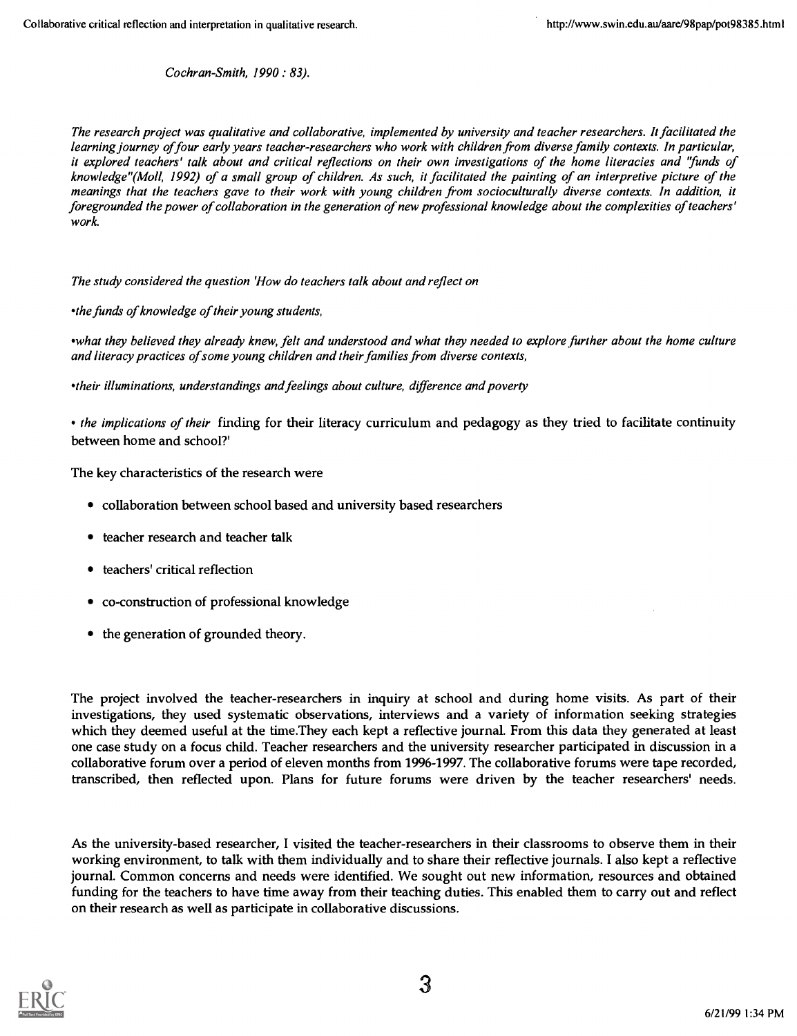Cochran-Smith, 1990: 83).

The research project was qualitative and collaborative, implemented by university and teacher researchers. It facilitated the learning journey of four early years teacher-researchers who work with children from diverse family contexts. In particular, it explored teachers' talk about and critical reflections on their own investigations of the home literacies and 'funds of knowledge "(Moll, 1992) of a small group of children. As such, it facilitated the painting of an interpretive picture of the meanings that the teachers gave to their work with young children from socioculturally diverse contexts. In addition, it foregrounded the power of collaboration in the generation of new professional knowledge about the complexities of teachers' work.

The study considered the question 'How do teachers talk about and reflect on

the funds of knowledge of their young students,

what they believed they already knew, felt and understood and what they needed to explore further about the home culture and literacy practices of some young children and their families from diverse contexts,

'their illuminations, understandings and feelings about culture, difference and poverty

• the implications of their finding for their literacy curriculum and pedagogy as they tried to facilitate continuity between home and school?'

The key characteristics of the research were

- collaboration between school based and university based researchers
- teacher research and teacher talk
- teachers' critical reflection
- co-construction of professional knowledge
- the generation of grounded theory.

The project involved the teacher-researchers in inquiry at school and during home visits. As part of their investigations, they used systematic observations, interviews and a variety of information seeking strategies which they deemed useful at the time.They each kept a reflective journal. From this data they generated at least one case study on a focus child. Teacher researchers and the university researcher participated in discussion in a collaborative forum over a period of eleven months from 1996-1997. The collaborative forums were tape recorded, transcribed, then reflected upon. Plans for future forums were driven by the teacher researchers' needs.

As the university-based researcher, I visited the teacher-researchers in their classrooms to observe them in their working environment, to talk with them individually and to share their reflective journals. I also kept a reflective journal. Common concerns and needs were identified. We sought out new information, resources and obtained funding for the teachers to have time away from their teaching duties. This enabled them to carry out and reflect on their research as well as participate in collaborative discussions.

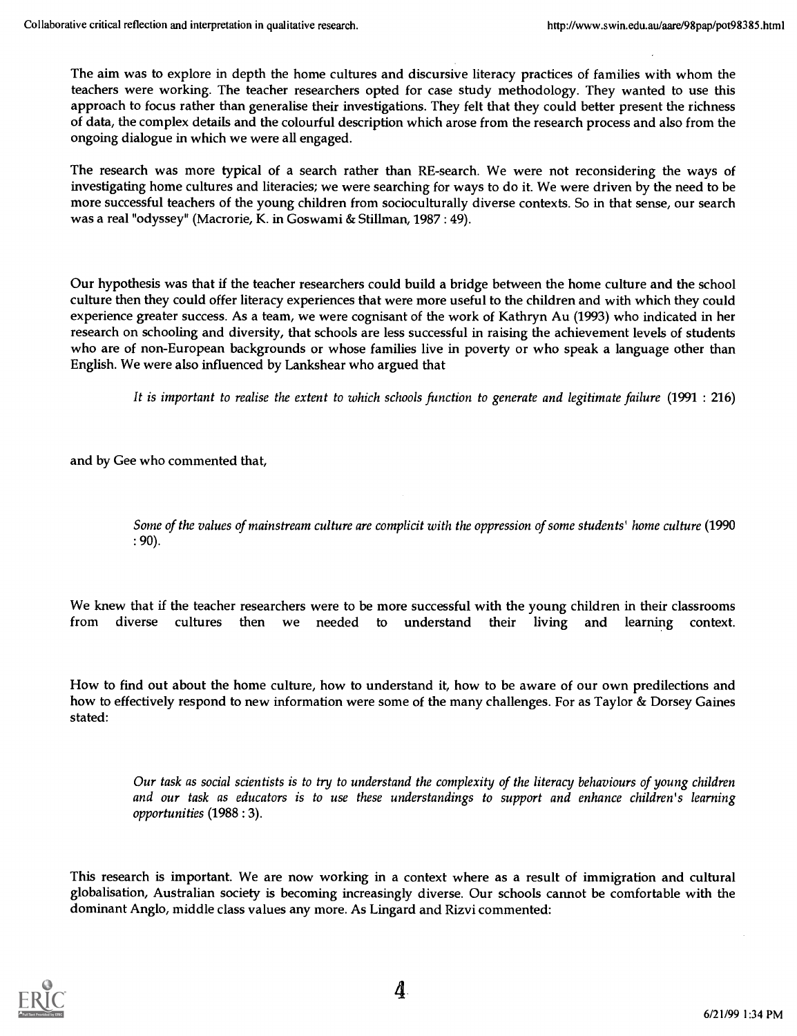The aim was to explore in depth the home cultures and discursive literacy practices of families with whom the teachers were working. The teacher researchers opted for case study methodology. They wanted to use this approach to focus rather than generalise their investigations. They felt that they could better present the richness of data, the complex details and the colourful description which arose from the research process and also from the ongoing dialogue in which we were all engaged.

The research was more typical of a search rather than RE-search. We were not reconsidering the ways of investigating home cultures and literacies; we were searching for ways to do it. We were driven by the need to be more successful teachers of the young children from socioculturally diverse contexts. So in that sense, our search was a real "odyssey" (Macrorie, K. in Goswami & Stillman, 1987 : 49).

Our hypothesis was that if the teacher researchers could build a bridge between the home culture and the school culture then they could offer literacy experiences that were more useful to the children and with which they could experience greater success. As a team, we were cognisant of the work of Kathryn Au (1993) who indicated in her research on schooling and diversity, that schools are less successful in raising the achievement levels of students who are of non-European backgrounds or whose families live in poverty or who speak a language other than English. We were also influenced by Lankshear who argued that

It is important to realise the extent to which schools function to generate and legitimate failure (1991 : 216)

and by Gee who commented that,

Some of the values of mainstream culture are complicit with the oppression of some students' home culture (1990 : 90).

We knew that if the teacher researchers were to be more successful with the young children in their classrooms from diverse cultures then we needed to understand their living and learning context.

How to find out about the home culture, how to understand it, how to be aware of our own predilections and how to effectively respond to new information were some of the many challenges. For as Taylor & Dorsey Gaines stated:

Our task as social scientists is to try to understand the complexity of the literacy behaviours of young children and our task as educators is to use these understandings to support and enhance children's learning opportunities (1988 : 3).

This research is important. We are now working in a context where as a result of immigration and cultural globalisation, Australian society is becoming increasingly diverse. Our schools cannot be comfortable with the dominant Anglo, middle class values any more. As Lingard and Rizvi commented:

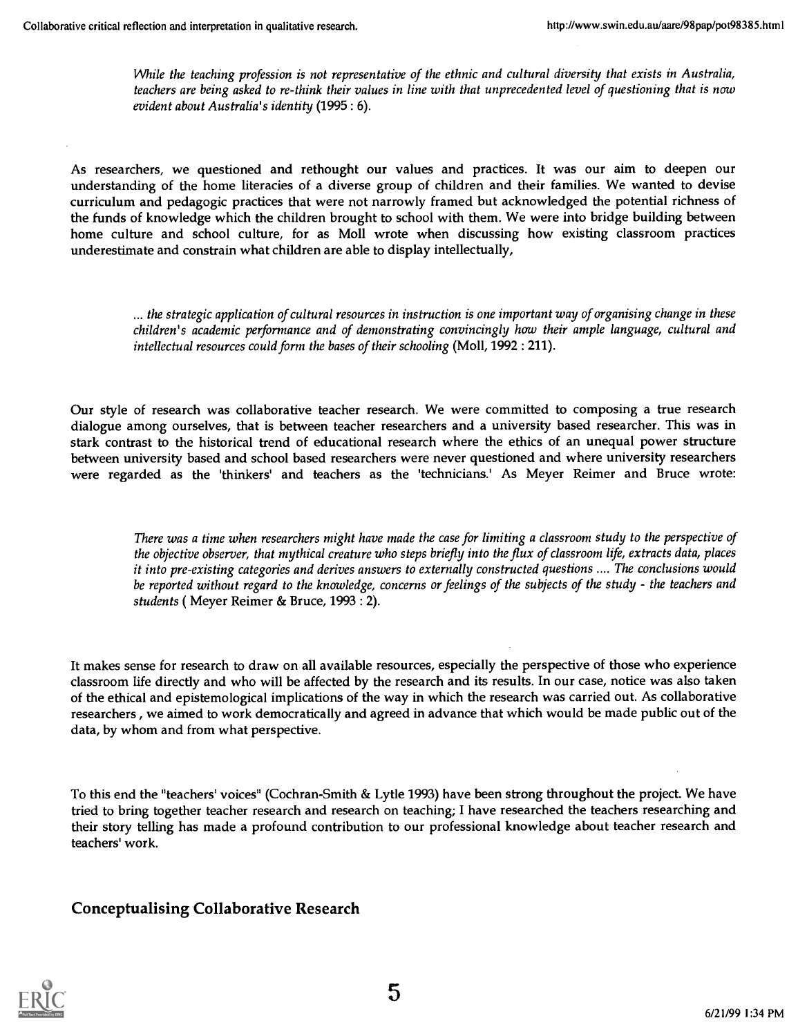While the teaching profession is not representative of the ethnic and cultural diversity that exists in Australia, teachers are being asked to re-think their values in line with that unprecedented level of questioning that is now evident about Australia's identity (1995: 6).

As researchers, we questioned and rethought our values and practices. It was our aim to deepen our understanding of the home literacies of a diverse group of children and their families. We wanted to devise curriculum and pedagogic practices that were not narrowly framed but acknowledged the potential richness of the funds of knowledge which the children brought to school with them. We were into bridge building between home culture and school culture, for as Moll wrote when discussing how existing classroom practices underestimate and constrain what children are able to display intellectually,

... the strategic application of cultural resources in instruction is one important way of organising change in these children's academic performance and of demonstrating convincingly how their ample language, cultural and intellectual resources could form the bases of their schooling (Moll, 1992 : 211).

Our style of research was collaborative teacher research. We were committed to composing a true research dialogue among ourselves, that is between teacher researchers and a university based researcher. This was in stark contrast to the historical trend of educational research where the ethics of an unequal power structure between university based and school based researchers were never questioned and where university researchers were regarded as the 'thinkers' and teachers as the 'technicians.' As Meyer Reimer and Bruce wrote:

There was a time when researchers might have made the case for limiting a classroom study to the perspective of the objective observer, that mythical creature who steps briefly into the flux of classroom life, extracts data, places it into pre-existing categories and derives answers to externally constructed questions .... The conclusions would be reported without regard to the knowledge, concerns or feelings of the subjects of the study - the teachers and students (Meyer Reimer & Bruce, 1993: 2).

It makes sense for research to draw on all available resources, especially the perspective of those who experience classroom life directly and who will be affected by the research and its results. In our case, notice was also taken of the ethical and epistemological implications of the way in which the research was carried out. As collaborative researchers , we aimed to work democratically and agreed in advance that which would be made public out of the data, by whom and from what perspective.

To this end the "teachers' voices" (Cochran-Smith & Lytle 1993) have been strong throughout the project. We have tried to bring together teacher research and research on teaching; I have researched the teachers researching and their story telling has made a profound contribution to our professional knowledge about teacher research and teachers' work.

### Conceptualising Collaborative Research

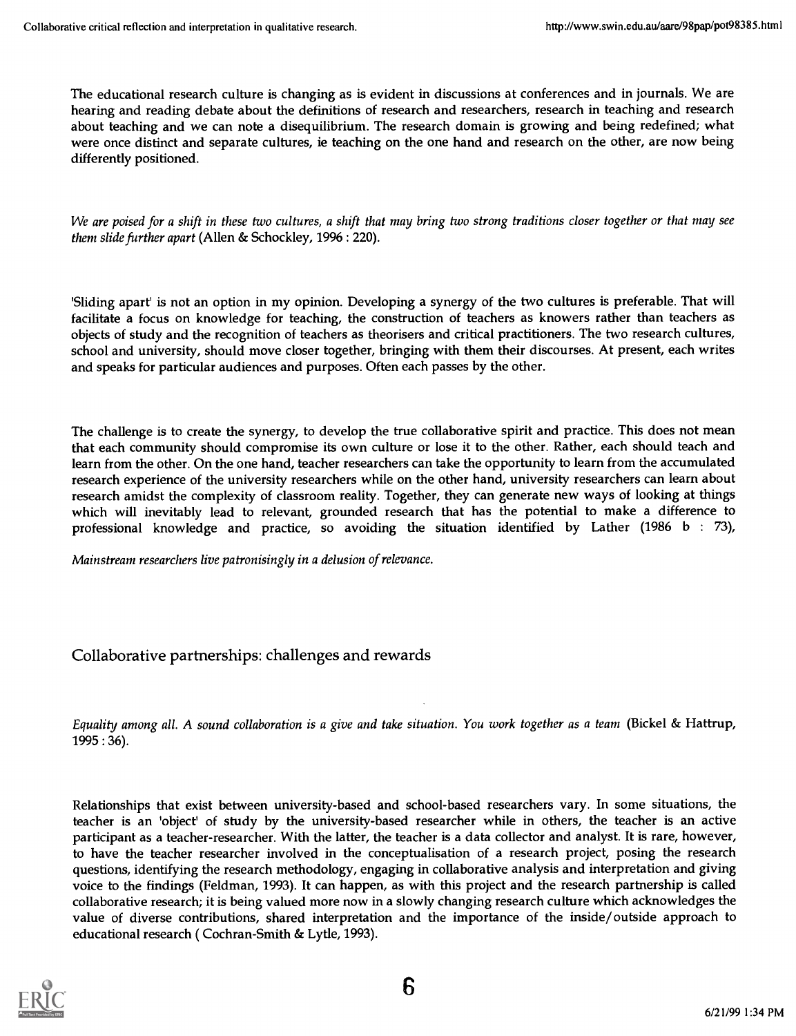The educational research culture is changing as is evident in discussions at conferences and in journals. We are hearing and reading debate about the definitions of research and researchers, research in teaching and research about teaching and we can note a disequilibrium. The research domain is growing and being redefined; what were once distinct and separate cultures, ie teaching on the one hand and research on the other, are now being differently positioned.

We are poised for a shift in these two cultures, a shift that may bring two strong traditions closer together or that may see them slide further apart (Allen & Schockley, 1996 : 220).

'Sliding apart' is not an option in my opinion. Developing a synergy of the two cultures is preferable. That will facilitate a focus on knowledge for teaching, the construction of teachers as knowers rather than teachers as objects of study and the recognition of teachers as theorisers and critical practitioners. The two research cultures, school and university, should move closer together, bringing with them their discourses. At present, each writes and speaks for particular audiences and purposes. Often each passes by the other.

The challenge is to create the synergy, to develop the true collaborative spirit and practice. This does not mean that each community should compromise its own culture or lose it to the other. Rather, each should teach and learn from the other. On the one hand, teacher researchers can take the opportunity to learn from the accumulated research experience of the university researchers while on the other hand, university researchers can learn about research amidst the complexity of classroom reality. Together, they can generate new ways of looking at things which will inevitably lead to relevant, grounded research that has the potential to make a difference to professional knowledge and practice, so avoiding the situation identified by Lather (1986 b : 73),

Mainstream researchers live patronisingly in a delusion of relevance.

### Collaborative partnerships: challenges and rewards

Equality among all. A sound collaboration is a give and take situation. You work together as a team (Bickel & Hattrup, 1995 : 36).

Relationships that exist between university-based and school-based researchers vary. In some situations, the teacher is an 'object' of study by the university-based researcher while in others, the teacher is an active participant as a teacher-researcher. With the latter, the teacher is a data collector and analyst. It is rare, however, to have the teacher researcher involved in the conceptualisation of a research project, posing the research questions, identifying the research methodology, engaging in collaborative analysis and interpretation and giving voice to the findings (Feldman, 1993). It can happen, as with this project and the research partnership is called collaborative research; it is being valued more now in a slowly changing research culture which acknowledges the value of diverse contributions, shared interpretation and the importance of the inside/outside approach to educational research ( Cochran-Smith & Lytle, 1993).

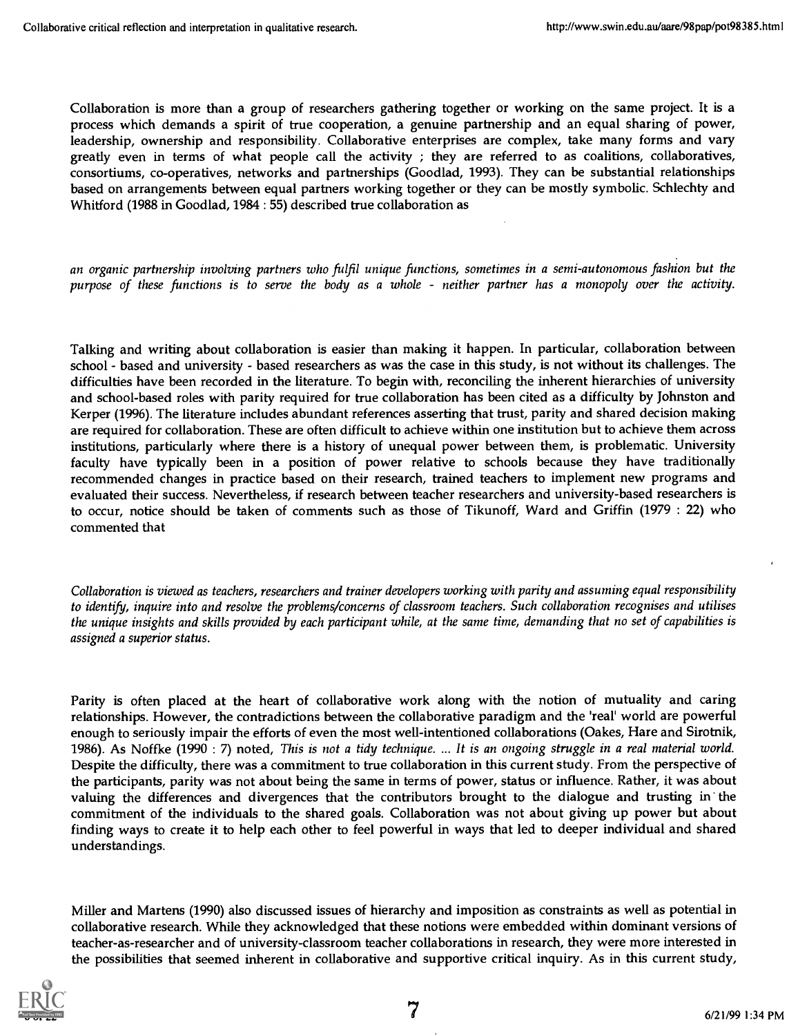Collaboration is more than a group of researchers gathering together or working on the same project. It is a process which demands a spirit of true cooperation, a genuine partnership and an equal sharing of power, leadership, ownership and responsibility. Collaborative enterprises are complex, take many forms and vary greatly even in terms of what people call the activity ; they are referred to as coalitions, collaboratives, consortiums, co-operatives, networks and partnerships (Goodlad, 1993). They can be substantial relationships based on arrangements between equal partners working together or they can be mostly symbolic. Schlechty and Whitford (1988 in Goodlad, 1984 : 55) described true collaboration as

an organic partnership involving partners who fulfil unique functions, sometimes in a semi-autonomous fashion but the purpose of these functions is to serve the body as a whole - neither partner has a monopoly over the activity.

Talking and writing about collaboration is easier than making it happen. In particular, collaboration between school - based and university - based researchers as was the case in this study, is not without its challenges. The difficulties have been recorded in the literature. To begin with, reconciling the inherent hierarchies of university and school-based roles with parity required for true collaboration has been cited as a difficulty by Johnston and Kerper (1996). The literature includes abundant references asserting that trust, parity and shared decision making are required for collaboration. These are often difficult to achieve within one institution but to achieve them across institutions, particularly where there is a history of unequal power between them, is problematic. University faculty have typically been in a position of power relative to schools because they have traditionally recommended changes in practice based on their research, trained teachers to implement new programs and evaluated their success. Nevertheless, if research between teacher researchers and university-based researchers is to occur, notice should be taken of comments such as those of Tikunoff, Ward and Griffin (1979: 22) who commented that

Collaboration is viewed as teachers, researchers and trainer developers working with parity and assuming equal responsibility to identify, inquire into and resolve the problems/concerns of classroom teachers. Such collaboration recognises and utilises the unique insights and skills provided by each participant while, at the same time, demanding that no set of capabilities is assigned a superior status.

Parity is often placed at the heart of collaborative work along with the notion of mutuality and caring relationships. However, the contradictions between the collaborative paradigm and the 'real' world are powerful enough to seriously impair the efforts of even the most well-intentioned collaborations (Oakes, Hare and Sirotnik, 1986). As Noffke (1990 : 7) noted, This is not a tidy technique. ... It is an ongoing struggle in a real material world. Despite the difficulty, there was a commitment to true collaboration in this current study. From the perspective of the participants, parity was not about being the same in terms of power, status or influence. Rather, it was about valuing the differences and divergences that the contributors brought to the dialogue and trusting in the commitment of the individuals to the shared goals. Collaboration was not about giving up power but about finding ways to create it to help each other to feel powerful in ways that led to deeper individual and shared understandings.

Miller and Martens (1990) also discussed issues of hierarchy and imposition as constraints as well as potential in collaborative research. While they acknowledged that these notions were embedded within dominant versions of teacher-as-researcher and of university-classroom teacher collaborations in research, they were more interested in the possibilities that seemed inherent in collaborative and supportive critical inquiry. As in this current study,

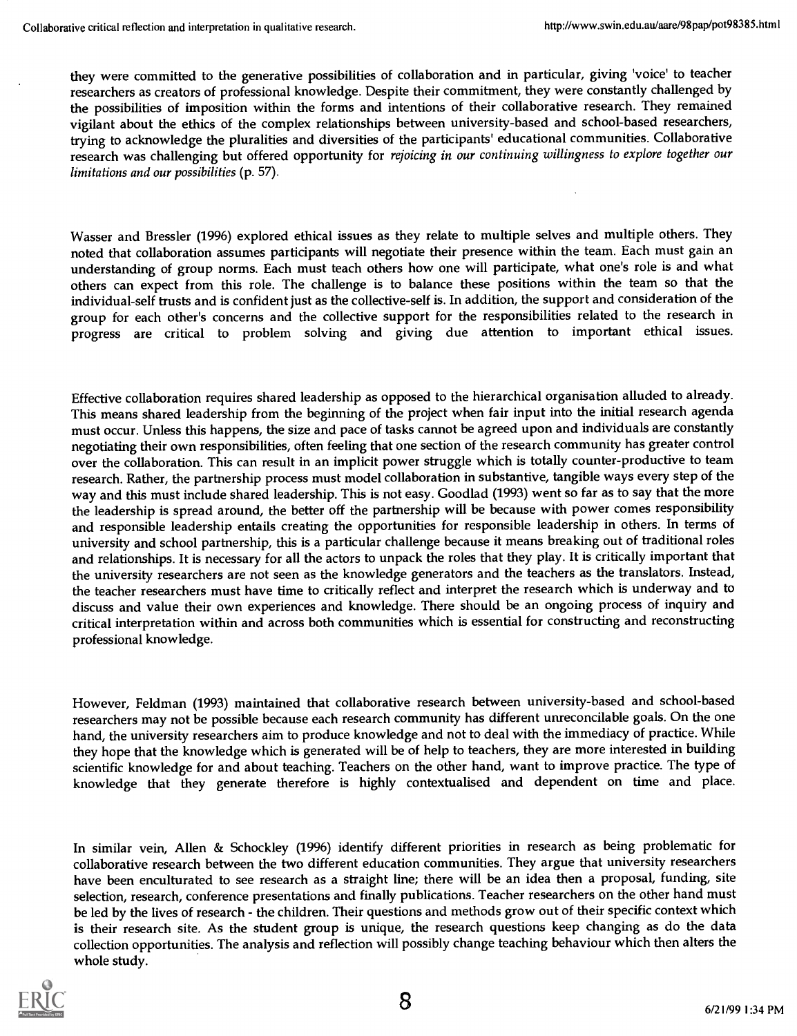they were committed to the generative possibilities of collaboration and in particular, giving 'voice' to teacher researchers as creators of professional knowledge. Despite their commitment, they were constantly challenged by the possibilities of imposition within the forms and intentions of their collaborative research. They remained vigilant about the ethics of the complex relationships between university-based and school-based researchers, trying to acknowledge the pluralities and diversities of the participants' educational communities. Collaborative research was challenging but offered opportunity for rejoicing in our continuing willingness to explore together our limitations and our possibilities (p. 57).

Wasser and Bressler (1996) explored ethical issues as they relate to multiple selves and multiple others. They noted that collaboration assumes participants will negotiate their presence within the team. Each must gain an understanding of group norms. Each must teach others how one will participate, what one's role is and what others can expect from this role. The challenge is to balance these positions within the team so that the individual-self trusts and is confident just as the collective-self is. In addition, the support and consideration of the group for each other's concerns and the collective support for the responsibilities related to the research in progress are critical to problem solving and giving due attention to important ethical issues.

Effective collaboration requires shared leadership as opposed to the hierarchical organisation alluded to already. This means shared leadership from the beginning of the project when fair input into the initial research agenda must occur. Unless this happens, the size and pace of tasks cannot be agreed upon and individuals are constantly negotiating their own responsibilities, often feeling that one section of the research community has greater control over the collaboration. This can result in an implicit power struggle which is totally counter-productive to team research. Rather, the partnership process must model collaboration in substantive, tangible ways every step of the way and this must include shared leadership. This is not easy. Goodlad (1993) went so far as to say that the more the leadership is spread around, the better off the partnership will be because with power comes responsibility and responsible leadership entails creating the opportunities for responsible leadership in others. In terms of university and school partnership, this is a particular challenge because it means breaking out of traditional roles and relationships. It is necessary for all the actors to unpack the roles that they play. It is critically important that the university researchers are not seen as the knowledge generators and the teachers as the translators. Instead, the teacher researchers must have time to critically reflect and interpret the research which is underway and to discuss and value their own experiences and knowledge. There should be an ongoing process of inquiry and critical interpretation within and across both communities which is essential for constructing and reconstructing professional knowledge.

However, Feldman (1993) maintained that collaborative research between university-based and school-based researchers may not be possible because each research community has different unreconcilable goals. On the one hand, the university researchers aim to produce knowledge and not to deal with the immediacy of practice. While they hope that the knowledge which is generated will be of help to teachers, they are more interested in building scientific knowledge for and about teaching. Teachers on the other hand, want to improve practice. The type of knowledge that they generate therefore is highly contextualised and dependent on time and place.

In similar vein, Allen & Schockley (1996) identify different priorities in research as being problematic for collaborative research between the two different education communities. They argue that university researchers have been enculturated to see research as a straight line; there will be an idea then a proposal, funding, site selection, research, conference presentations and finally publications. Teacher researchers on the other hand must be led by the lives of research - the children. Their questions and methods grow out of their specific context which is their research site. As the student group is unique, the research questions keep changing as do the data collection opportunities. The analysis and reflection will possibly change teaching behaviour which then alters the whole study.

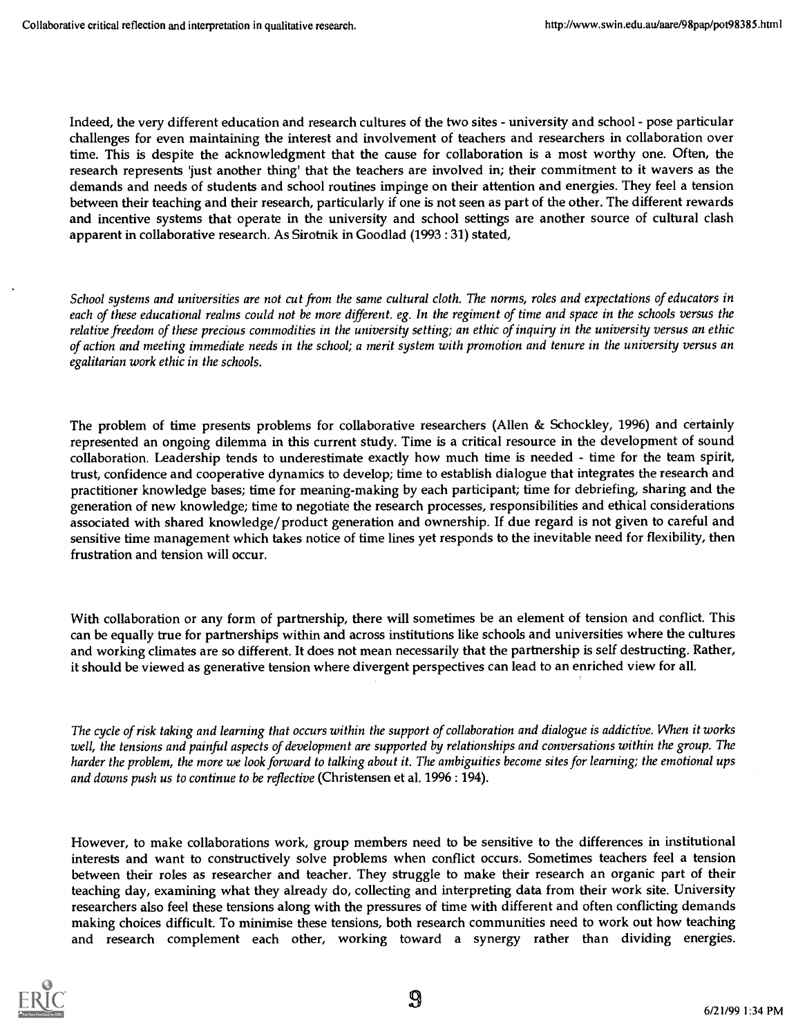Indeed, the very different education and research cultures of the two sites - university and school - pose particular challenges for even maintaining the interest and involvement of teachers and researchers in collaboration over time. This is despite the acknowledgment that the cause for collaboration is a most worthy one. Often, the research represents 'just another thing' that the teachers are involved in; their commitment to it wavers as the demands and needs of students and school routines impinge on their attention and energies. They feel a tension between their teaching and their research, particularly if one is not seen as part of the other. The different rewards and incentive systems that operate in the university and school settings are another source of cultural clash apparent in collaborative research. As Sirotnik in Goodlad (1993 : 31) stated,

School systems and universities are not cut from the same cultural cloth. The norms, roles and expectations of educators in each of these educational realms could not be more different. eg. In the regiment of time and space in the schools versus the relative freedom of these precious commodities in the university setting; an ethic of inquiry in the university versus an ethic of action and meeting immediate needs in the school; a merit system with promotion and tenure in the university versus an egalitarian work ethic in the schools.

The problem of time presents problems for collaborative researchers (Allen & Schockley, 1996) and certainly represented an ongoing dilemma in this current study. Time is a critical resource in the development of sound collaboration. Leadership tends to underestimate exactly how much time is needed - time for the team spirit, trust, confidence and cooperative dynamics to develop; time to establish dialogue that integrates the research and practitioner knowledge bases; time for meaning-making by each participant; time for debriefing, sharing and the generation of new knowledge; time to negotiate the research processes, responsibilities and ethical considerations associated with shared knowledge/product generation and ownership. If due regard is not given to careful and sensitive time management which takes notice of time lines yet responds to the inevitable need for flexibility, then frustration and tension will occur.

With collaboration or any form of partnership, there will sometimes be an element of tension and conflict. This can be equally true for partnerships within and across institutions like schools and universities where the cultures and working climates are so different. It does not mean necessarily that the partnership is self destructing. Rather, it should be viewed as generative tension where divergent perspectives can lead to an enriched view for all.

The cycle of risk taking and learning that occurs within the support of collaboration and dialogue is addictive. When it works well, the tensions and painful aspects of development are supported by relationships and conversations within the group. The harder the problem, the more we look forward to talking about it. The ambiguities become sites for learning; the emotional ups and downs push us to continue to be reflective (Christensen et al. 1996 : 194).

However, to make collaborations work, group members need to be sensitive to the differences in institutional interests and want to constructively solve problems when conflict occurs. Sometimes teachers feel a tension between their roles as researcher and teacher. They struggle to make their research an organic part of their teaching day, examining what they already do, collecting and interpreting data from their work site. University researchers also feel these tensions along with the pressures of time with different and often conflicting demands making choices difficult. To minimise these tensions, both research communities need to work out how teaching and research complement each other, working toward a synergy rather than dividing energies.

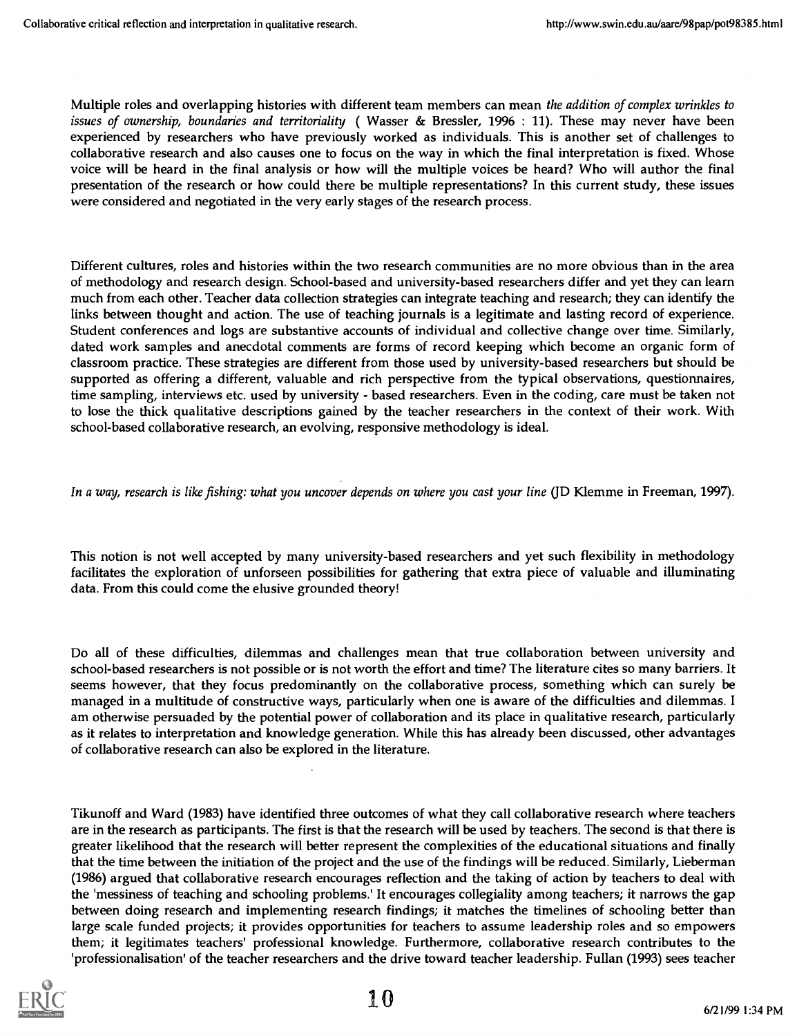Multiple roles and overlapping histories with different team members can mean the addition of complex wrinkles to issues of ownership, boundaries and territoriality ( Wasser & Bressler, 1996 : 11). These may never have been experienced by researchers who have previously worked as individuals. This is another set of challenges to collaborative research and also causes one to focus on the way in which the final interpretation is fixed. Whose voice will be heard in the final analysis or how will the multiple voices be heard? Who will author the final presentation of the research or how could there be multiple representations? In this current study, these issues were considered and negotiated in the very early stages of the research process.

Different cultures, roles and histories within the two research communities are no more obvious than in the area of methodology and research design. School-based and university-based researchers differ and yet they can learn much from each other. Teacher data collection strategies can integrate teaching and research; they can identify the links between thought and action. The use of teaching journals is a legitimate and lasting record of experience. Student conferences and logs are substantive accounts of individual and collective change over time. Similarly, dated work samples and anecdotal comments are forms of record keeping which become an organic form of classroom practice. These strategies are different from those used by university-based researchers but should be supported as offering a different, valuable and rich perspective from the typical observations, questionnaires, time sampling, interviews etc. used by university - based researchers. Even in the coding, care must be taken not to lose the thick qualitative descriptions gained by the teacher researchers in the context of their work. With school-based collaborative research, an evolving, responsive methodology is ideal.

#### In a way, research is like fishing: what you uncover depends on where you cast your line (JD Klemme in Freeman, 1997).

This notion is not well accepted by many university-based researchers and yet such flexibility in methodology facilitates the exploration of unforseen possibilities for gathering that extra piece of valuable and illuminating data. From this could come the elusive grounded theory!

Do all of these difficulties, dilemmas and challenges mean that true collaboration between university and school-based researchers is not possible or is not worth the effort and time? The literature cites so many barriers. It seems however, that they focus predominantly on the collaborative process, something which can surely be managed in a multitude of constructive ways, particularly when one is aware of the difficulties and dilemmas. I am otherwise persuaded by the potential power of collaboration and its place in qualitative research, particularly as it relates to interpretation and knowledge generation. While this has already been discussed, other advantages of collaborative research can also be explored in the literature.

Tikunoff and Ward (1983) have identified three outcomes of what they call collaborative research where teachers are in the research as participants. The first is that the research will be used by teachers. The second is that there is greater likelihood that the research will better represent the complexities of the educational situations and finally that the time between the initiation of the project and the use of the findings will be reduced. Similarly, Lieberman (1986) argued that collaborative research encourages reflection and the taking of action by teachers to deal with the 'messiness of teaching and schooling problems.' It encourages collegiality among teachers; it narrows the gap between doing research and implementing research findings; it matches the timelines of schooling better than large scale funded projects; it provides opportunities for teachers to assume leadership roles and so empowers them; it legitimates teachers' professional knowledge. Furthermore, collaborative research contributes to the 'professionalisation' of the teacher researchers and the drive toward teacher leadership. Fullan (1993) sees teacher

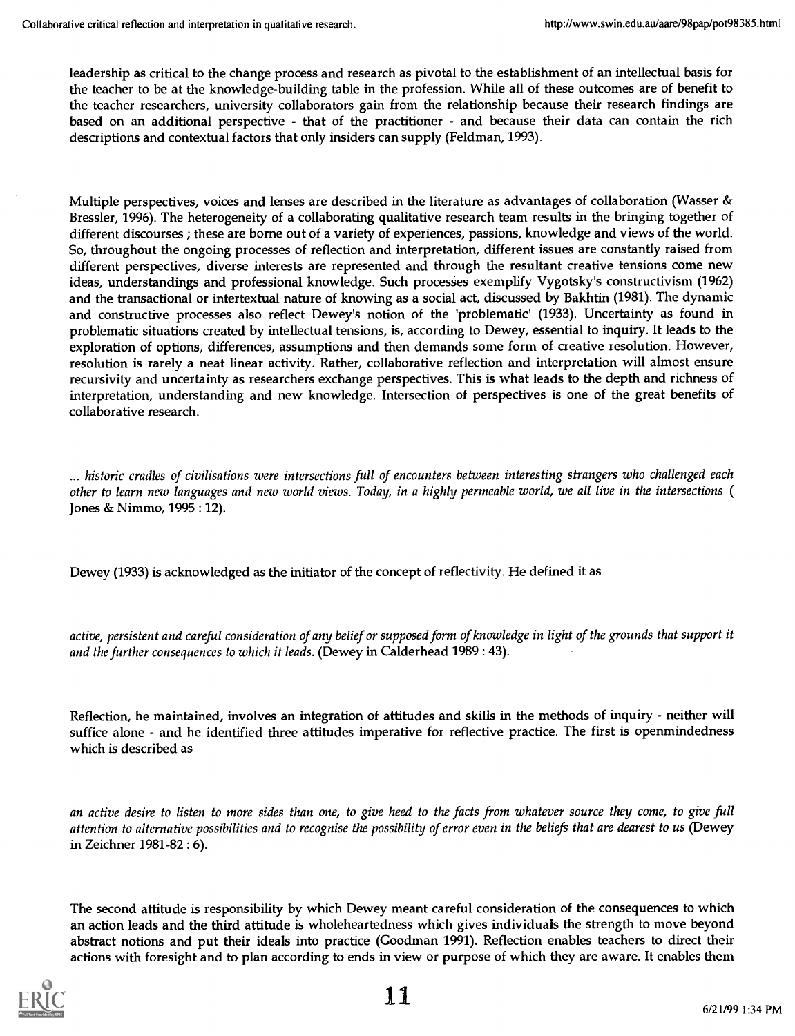leadership as critical to the change process and research as pivotal to the establishment of an intellectual basis for the teacher to be at the knowledge-building table in the profession. While all of these outcomes are of benefit to the teacher researchers, university collaborators gain from the relationship because their research findings are based on an additional perspective - that of the practitioner - and because their data can contain the rich descriptions and contextual factors that only insiders can supply (Feldman, 1993).

Multiple perspectives, voices and lenses are described in the literature as advantages of collaboration (Wasser & Bressler, 1996). The heterogeneity of a collaborating qualitative research team results in the bringing together of different discourses ; these are borne out of a variety of experiences, passions, knowledge and views of the world. So, throughout the ongoing processes of reflection and interpretation, different issues are constantly raised from different perspectives, diverse interests are represented and through the resultant creative tensions come new ideas, understandings and professional knowledge. Such processes exemplify Vygotsky's constructivism (1962) and the transactional or intertextual nature of knowing as a social act, discussed by Bakhtin (1981). The dynamic and constructive processes also reflect Dewey's notion of the 'problematic' (1933). Uncertainty as found in problematic situations created by intellectual tensions, is, according to Dewey, essential to inquiry. It leads to the exploration of options, differences, assumptions and then demands some form of creative resolution. However, resolution is rarely a neat linear activity. Rather, collaborative reflection and interpretation will almost ensure recursivity and uncertainty as researchers exchange perspectives. This is what leads to the depth and richness of interpretation, understanding and new knowledge. Intersection of perspectives is one of the great benefits of collaborative research.

... historic cradles of civilisations were intersections full of encounters between interesting strangers who challenged each other to learn new languages and new world views. Today, in a highly permeable world, we all live in the intersections ( Jones & Nimmo, 1995 : 12).

Dewey (1933) is acknowledged as the initiator of the concept of reflectivity. He defined it as

active, persistent and careful consideration of any belief or supposed form of knowledge in light of the grounds that support it and the further consequences to which it leads. (Dewey in Calderhead 1989 : 43).

Reflection, he maintained, involves an integration of attitudes and skills in the methods of inquiry - neither will suffice alone - and he identified three attitudes imperative for reflective practice. The first is openmindedness which is described as

an active desire to listen to more sides than one, to give heed to the facts from whatever source they come, to give full attention to alternative possibilities and to recognise the possibility of error even in the beliefs that are dearest to us (Dewey in Zeichner 1981-82 : 6).

The second attitude is responsibility by which Dewey meant careful consideration of the consequences to which an action leads and the third attitude is wholeheartedness which gives individuals the strength to move beyond abstract notions and put their ideals into practice (Goodman 1991). Reflection enables teachers to direct their actions with foresight and to plan according to ends in view or purpose of which they are aware. It enables them

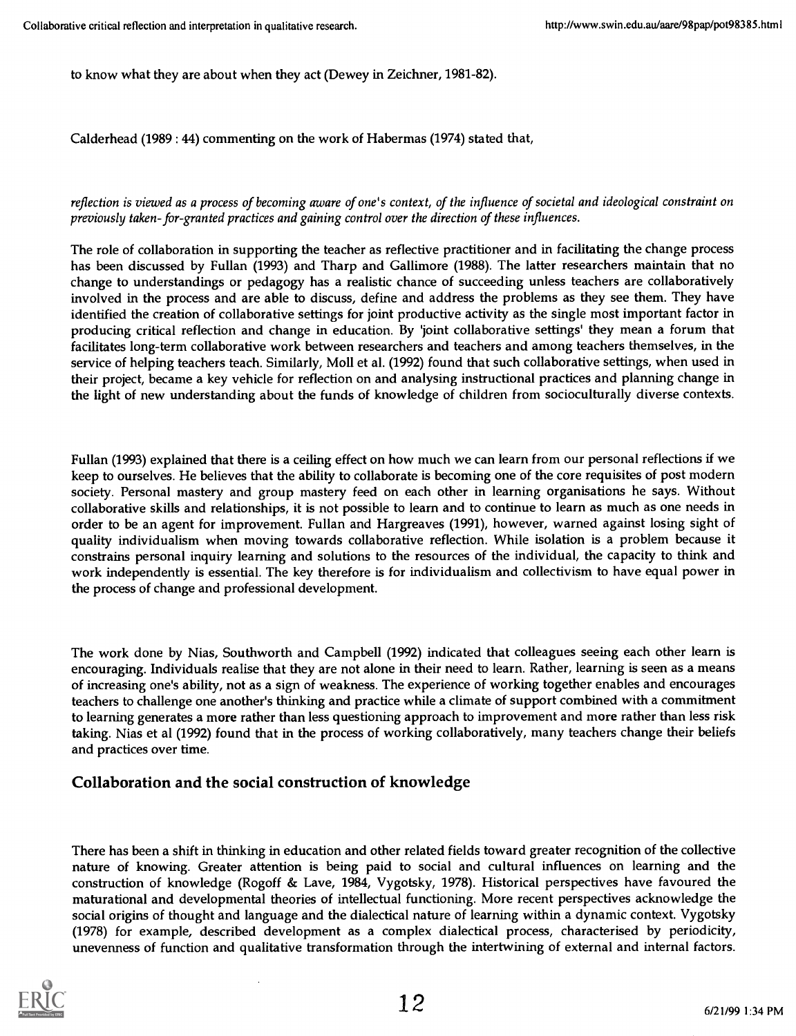to know what they are about when they act (Dewey in Zeichner, 1981-82).

Calderhead (1989 : 44) commenting on the work of Habermas (1974) stated that,

#### reflection is viewed as a process of becoming aware of one's context, of the influence of societal and ideological constraint on previously taken- for-granted practices and gaining control over the direction of these influences.

The role of collaboration in supporting the teacher as reflective practitioner and in facilitating the change process has been discussed by Fullan (1993) and Tharp and Gallimore (1988). The latter researchers maintain that no change to understandings or pedagogy has a realistic chance of succeeding unless teachers are collaboratively involved in the process and are able to discuss, define and address the problems as they see them. They have identified the creation of collaborative settings for joint productive activity as the single most important factor in producing critical reflection and change in education. By 'joint collaborative settings' they mean a forum that facilitates long-term collaborative work between researchers and teachers and among teachers themselves, in the service of helping teachers teach. Similarly, Moll et al. (1992) found that such collaborative settings, when used in their project, became a key vehicle for reflection on and analysing instructional practices and planning change in the light of new understanding about the funds of knowledge of children from socioculturally diverse contexts.

Fullan (1993) explained that there is a ceiling effect on how much we can learn from our personal reflections if we keep to ourselves. He believes that the ability to collaborate is becoming one of the core requisites of post modern society. Personal mastery and group mastery feed on each other in learning organisations he says. Without collaborative skills and relationships, it is not possible to learn and to continue to learn as much as one needs in order to be an agent for improvement. Fullan and Hargreaves (1991), however, warned against losing sight of quality individualism when moving towards collaborative reflection. While isolation is a problem because it constrains personal inquiry learning and solutions to the resources of the individual, the capacity to think and work independently is essential. The key therefore is for individualism and collectivism to have equal power in the process of change and professional development.

The work done by Nias, Southworth and Campbell (1992) indicated that colleagues seeing each other learn is encouraging. Individuals realise that they are not alone in their need to learn. Rather, learning is seen as a means of increasing one's ability, not as a sign of weakness. The experience of working together enables and encourages teachers to challenge one another's thinking and practice while a climate of support combined with a commitment to learning generates a more rather than less questioning approach to improvement and more rather than less risk taking. Nias et al (1992) found that in the process of working collaboratively, many teachers change their beliefs and practices over time.

## Collaboration and the social construction of knowledge

There has been a shift in thinking in education and other related fields toward greater recognition of the collective nature of knowing. Greater attention is being paid to social and cultural influences on learning and the construction of knowledge (Rogoff & Lave, 1984, Vygotsky, 1978). Historical perspectives have favoured the maturational and developmental theories of intellectual functioning. More recent perspectives acknowledge the social origins of thought and language and the dialectical nature of learning within a dynamic context. Vygotsky (1978) for example, described development as a complex dialectical process, characterised by periodicity, unevenness of function and qualitative transformation through the intertwining of external and internal factors.

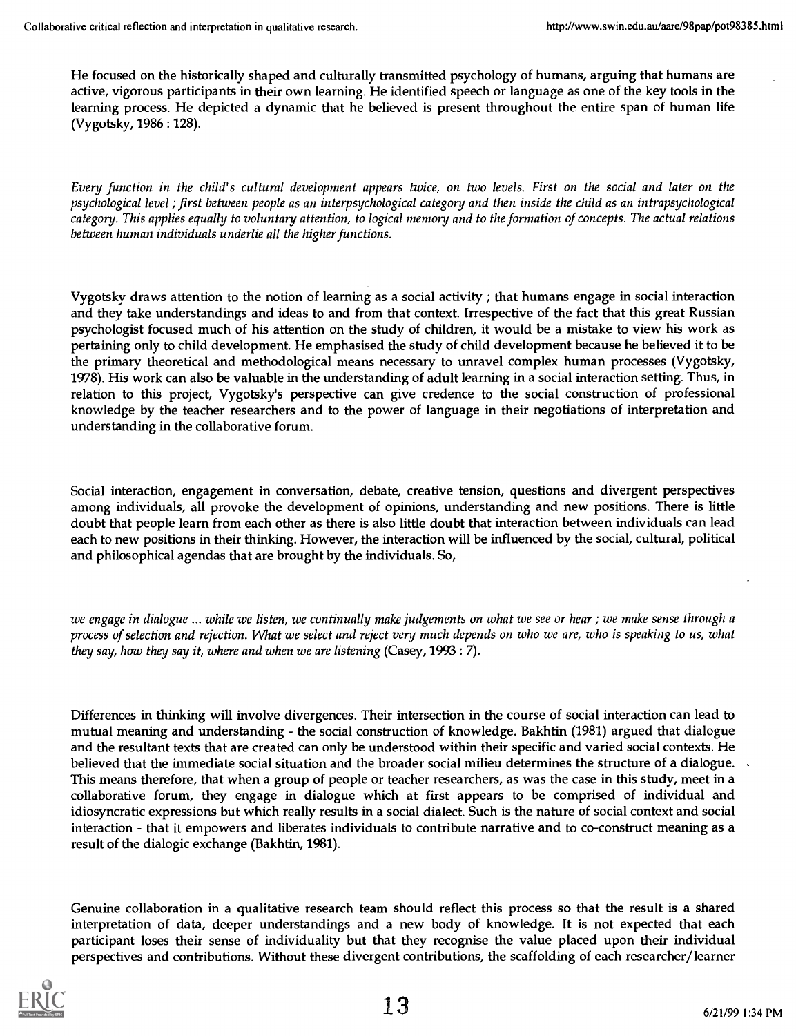He focused on the historically shaped and culturally transmitted psychology of humans, arguing that humans are active, vigorous participants in their own learning. He identified speech or language as one of the key tools in the learning process. He depicted a dynamic that he believed is present throughout the entire span of human life (Vygotsky, 1986 : 128).

Every function in the child's cultural development appears twice, on two levels. First on the social and later on the psychological level ; first between people as an interpsychological categony and then inside the child as an intrapsychological category. This applies equally to voluntary attention, to logical memory and to the formation of concepts. The actual relations between human individuals underlie all the higher functions.

Vygotsky draws attention to the notion of learning as a social activity ; that humans engage in social interaction and they take understandings and ideas to and from that context. Irrespective of the fact that this great Russian psychologist focused much of his attention on the study of children, it would be a mistake to view his work as pertaining only to child development. He emphasised the study of child development because he believed it to be the primary theoretical and methodological means necessary to unravel complex human processes (Vygotsky, 1978). His work can also be valuable in the understanding of adult learning in a social interaction setting. Thus, in relation to this project, Vygotsky's perspective can give credence to the social construction of professional knowledge by the teacher researchers and to the power of language in their negotiations of interpretation and understanding in the collaborative forum.

Social interaction, engagement in conversation, debate, creative tension, questions and divergent perspectives among individuals, all provoke the development of opinions, understanding and new positions. There is little doubt that people learn from each other as there is also little doubt that interaction between individuals can lead each to new positions in their thinking. However, the interaction will be influenced by the social, cultural, political and philosophical agendas that are brought by the individuals. So,

we engage in dialogue ... while we listen, we continually make judgements on what we see or hear ; we make sense through a process of selection and rejection. What we select and reject very much depends on who we are, who is speaking to us, what they say, how they say it, where and when we are listening (Casey, 1993: 7).

Differences in thinking will involve divergences. Their intersection in the course of social interaction can lead to mutual meaning and understanding - the social construction of knowledge. Bakhtin (1981) argued that dialogue and the resultant texts that are created can only be understood within their specific and varied social contexts. He believed that the immediate social situation and the broader social milieu determines the structure of a dialogue. This means therefore, that when a group of people or teacher researchers, as was the case in this study, meet in a collaborative forum, they engage in dialogue which at first appears to be comprised of individual and idiosyncratic expressions but which really results in a social dialect. Such is the nature of social context and social interaction - that it empowers and liberates individuals to contribute narrative and to co-construct meaning as a result of the dialogic exchange (Bakhtin, 1981).

Genuine collaboration in a qualitative research team should reflect this process so that the result is a shared interpretation of data, deeper understandings and a new body of knowledge. It is not expected that each participant loses their sense of individuality but that they recognise the value placed upon their individual perspectives and contributions. Without these divergent contributions, the scaffolding of each researcher/learner

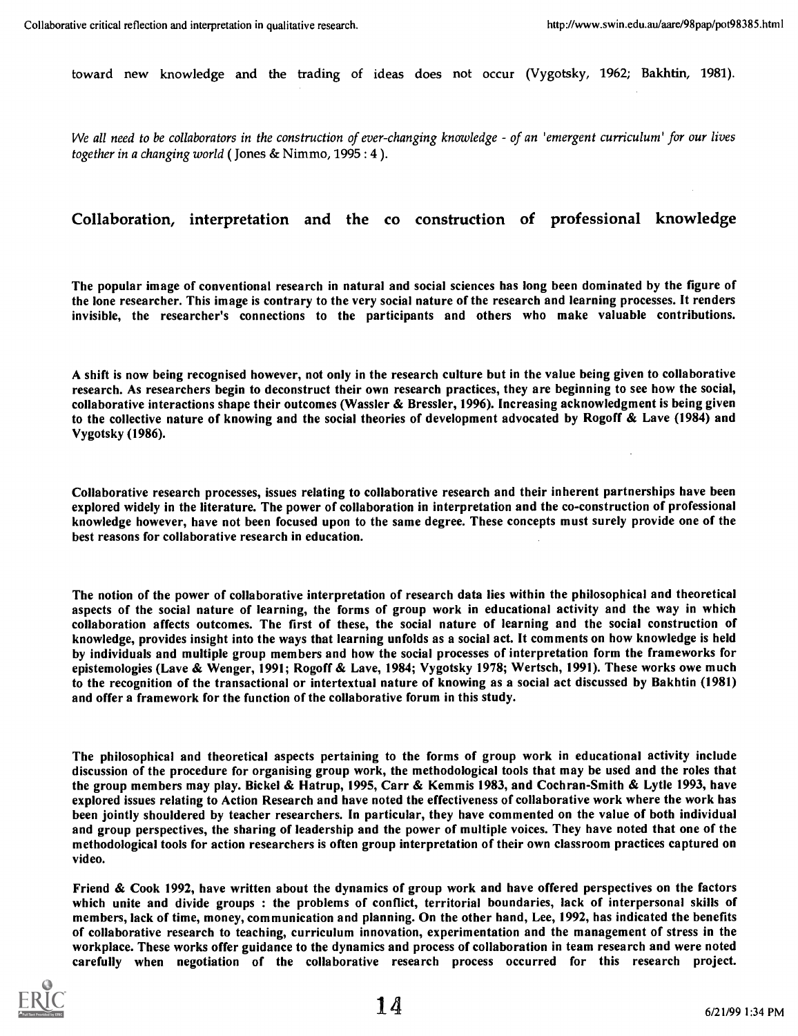toward new knowledge and the trading of ideas does not occur (Vygotsky, 1962; Bakhtin, 1981).

We all need to be collaborators in the construction of ever-changing knowledge  $-$  of an 'emergent curriculum' for our lives together in a changing world ( Jones & Nimmo, 1995 : 4 ).

#### Collaboration, interpretation and the co construction of professional knowledge

The popular image of conventional research in natural and social sciences has long been dominated by the figure of the lone researcher. This image is contrary to the very social nature of the research and learning processes. It renders invisible, the researcher's connections to the participants and others who make valuable contributions.

A shift is now being recognised however, not only in the research culture but in the value being given to collaborative research. As researchers begin to deconstruct their own research practices, they are beginning to see how the social, collaborative interactions shape their outcomes (Wassler & Bressler, 1996). Increasing acknowledgment is being given to the collective nature of knowing and the social theories of development advocated by Rogoff & Lave (1984) and Vygotsky (1986).

Collaborative research processes, issues relating to collaborative research and their inherent partnerships have been explored widely in the literature. The power of collaboration in interpretation and the co-construction of professional knowledge however, have not been focused upon to the same degree. These concepts must surely provide one of the best reasons for collaborative research in education.

The notion of the power of collaborative interpretation of research data lies within the philosophical and theoretical aspects of the social nature of learning, the forms of group work in educational activity and the way in which collaboration affects outcomes. The first of these, the social nature of learning and the social construction of knowledge, provides insight into the ways that learning unfolds as a social act. It comments on how knowledge is held by individuals and multiple group members and how the social processes of interpretation form the frameworks for epistemologies (Lave & Wenger, 1991; Rogoff & Lave, 1984; Vygotsky 1978; Wertsch, 1991). These works owe much to the recognition of the transactional or intertextual nature of knowing as a social act discussed by Bakhtin (1981) and offer a framework for the function of the collaborative forum in this study.

The philosophical and theoretical aspects pertaining to the forms of group work in educational activity include discussion of the procedure for organising group work, the methodological tools that may be used and the roles that the group members may play. Bickel & Hatrup, 1995, Carr & Kemmis 1983, and Cochran-Smith & Lytle 1993, have explored issues relating to Action Research and have noted the effectiveness of collaborative work where the work has been jointly shouldered by teacher researchers. In particular, they have commented on the value of both individual and group perspectives, the sharing of leadership and the power of multiple voices. They have noted that one of the methodological tools for action researchers is often group interpretation of their own classroom practices captured on video.

Friend & Cook 1992, have written about the dynamics of group work and have offered perspectives on the factors which unite and divide groups : the problems of conflict, territorial boundaries, lack of interpersonal skills of members, lack of time, money, communication and planning. On the other hand, Lee, 1992, has indicated the benefits of collaborative research to teaching, curriculum innovation, experimentation and the management of stress in the workplace. These works offer guidance to the dynamics and process of collaboration in team research and were noted carefully when negotiation of the collaborative research process occurred for this research project.

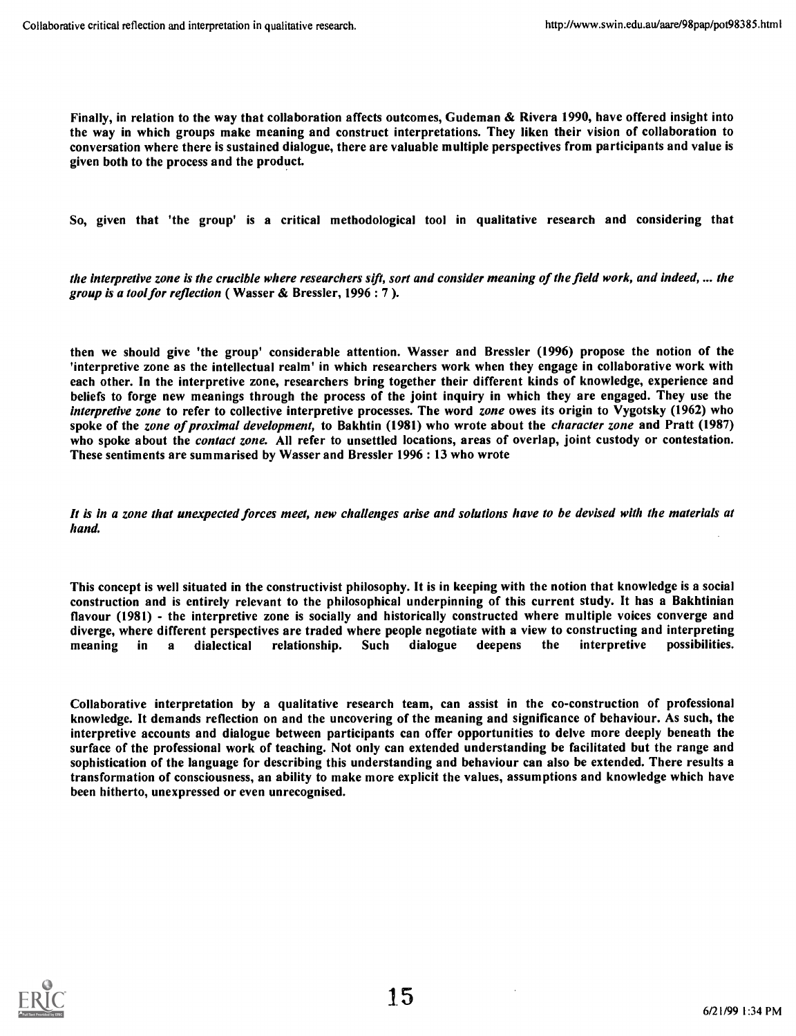Finally, in relation to the way that collaboration affects outcomes, Gudeman & Rivera 1990, have offered insight into the way in which groups make meaning and construct interpretations. They liken their vision of collaboration to conversation where there is sustained dialogue, there are valuable multiple perspectives from participants and value is given both to the process and the product.

So, given that 'the group' is a critical methodological tool in qualitative research and considering that

the interpretive zone is the crucible where researchers sift, sort and consider meaning of the field work, and indeed, ... the group is a tool for reflection (Wasser & Bressler, 1996 : 7 ).

then we should give 'the group' considerable attention. Wasser and Bressler (1996) propose the notion of the 'interpretive zone as the intellectual realm' in which researchers work when they engage in collaborative work with each other. In the interpretive zone, researchers bring together their different kinds of knowledge, experience and beliefs to forge new meanings through the process of the joint inquiry in which they are engaged. They use the interpretive zone to refer to collective interpretive processes. The word zone owes its origin to Vygotsky (1962) who spoke of the zone of proximal development, to Bakhtin (1981) who wrote about the character zone and Pratt (1987) who spoke about the *contact zone*. All refer to unsettled locations, areas of overlap, joint custody or contestation. These sentiments are summarised by Wasser and Bressler 1996: 13 who wrote

It is in a zone that unexpected forces meet, new challenges arise and solutions have to be devised with the materials at hand.

This concept is well situated in the constructivist philosophy. It is in keeping with the notion that knowledge is a social construction and is entirely relevant to the philosophical underpinning of this current study. It has a Bakhtinian flavour (1981) - the interpretive zone is socially and historically constructed where multiple voices converge and diverge, where different perspectives are traded where people negotiate with a view to constructing and interpreting<br>meaning in a dialectical relationship. Such dialogue deepens the interpretive possibilities. meaning in a dialectical relationship. Such dialogue deepens the interpretive possibilities.

Collaborative interpretation by a qualitative research team, can assist in the co-construction of professional knowledge. It demands reflection on and the uncovering of the meaning and significance of behaviour. As such, the interpretive accounts and dialogue between participants can offer opportunities to delve more deeply beneath the surface of the professional work of teaching. Not only can extended understanding be facilitated but the range and sophistication of the language for describing this understanding and behaviour can also be extended. There results a transformation of consciousness, an ability to make more explicit the values, assumptions and knowledge which have been hitherto, unexpressed or even unrecognised.

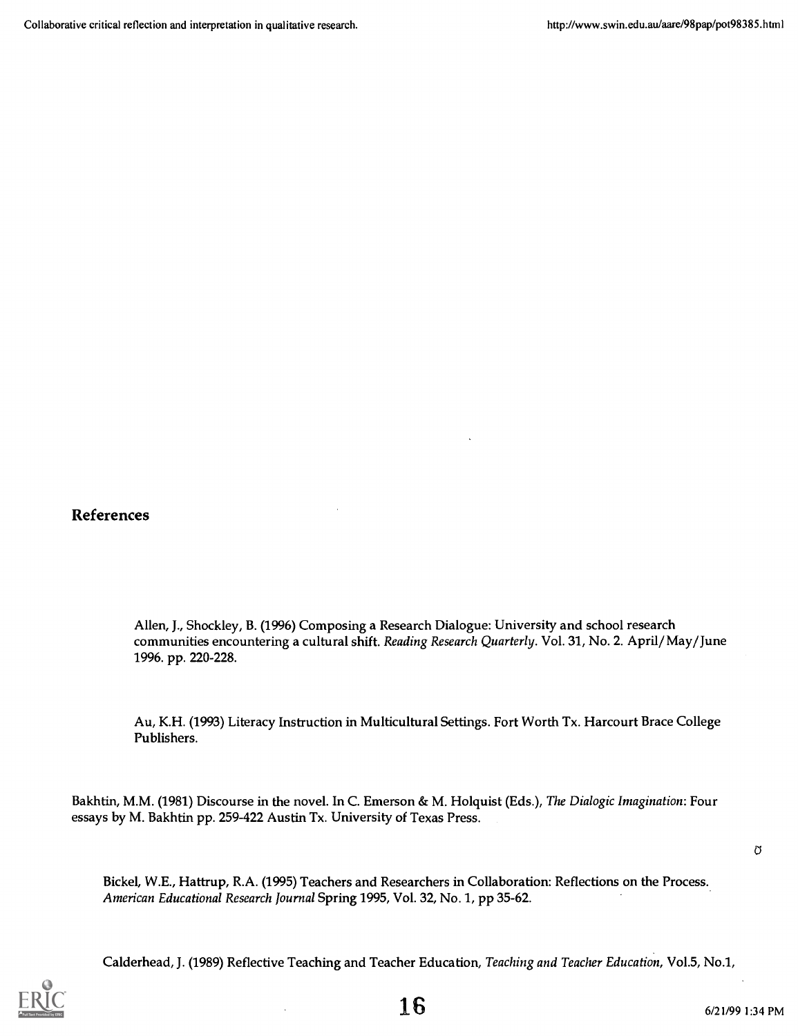References

Allen, J., Shockley, B. (1996) Composing a Research Dialogue: University and school research communities encountering a cultural shift. Reading Research Quarterly. Vol. 31, No. 2. April/May/June 1996. pp. 220-228.

Au, K.H. (1993) Literacy Instruction in Multicultural Settings. Fort Worth Tx. Harcourt Brace College Publishers.

Bakhtin, M.M. (1981) Discourse in the novel. In C. Emerson & M. Holquist (Eds.), The Dialogic Imagination: Four essays by M. Bakhtin pp. 259-422 Austin Tx. University of Texas Press.

 $\sigma$ 

Bickel, W.E., Hattrup, R.A. (1995) Teachers and Researchers in Collaboration: Reflections on the Process. American Educational Research Journal Spring 1995, Vol. 32, No. 1, pp 35-62.

Calderhead, J. (1989) Reflective Teaching and Teacher Education, Teaching and Teacher Education, Vol.5, No.1,

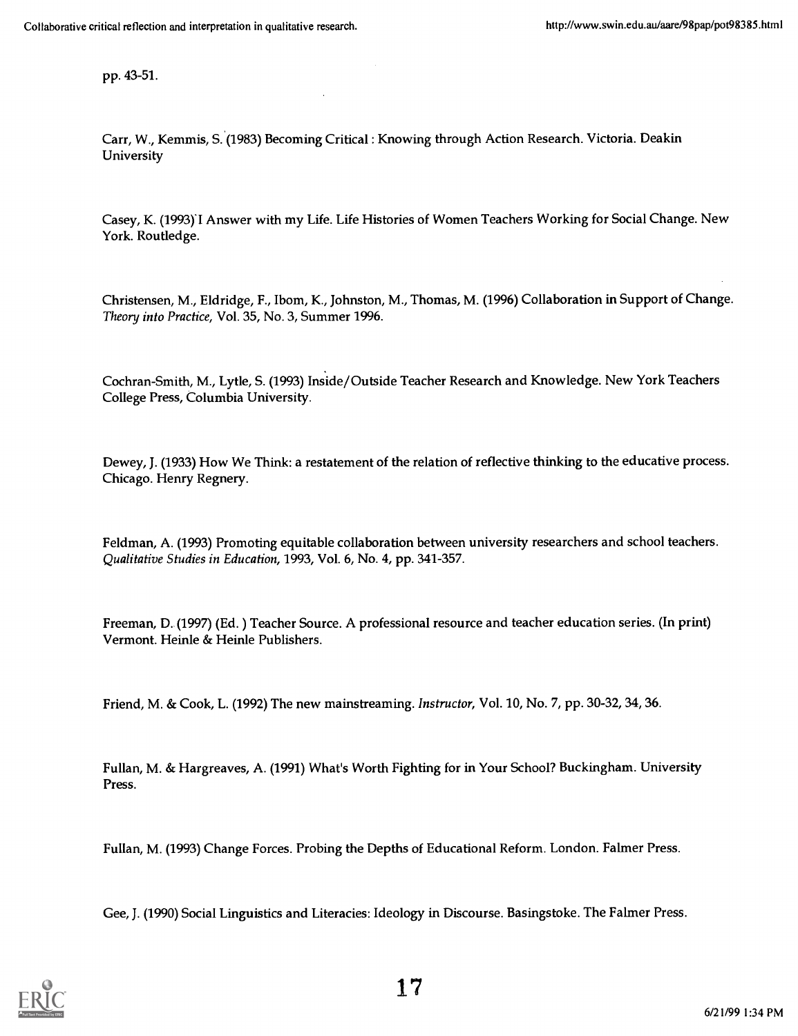pp. 43-51.

Carr, W., Kemmis, S. (1983) Becoming Critical : Knowing through Action Research. Victoria. Deakin University

Casey, K. (1993)1 Answer with my Life. Life Histories of Women Teachers Working for Social Change. New York. Routledge.

Christensen, M., Eldridge, F., Ibom, K., Johnston, M., Thomas, M. (1996) Collaboration in Support of Change. Theony into Practice, Vol. 35, No. 3, Summer 1996.

Cochran-Smith, M., Lytle, S. (1993) Inside/Outside Teacher Research and Knowledge. New York Teachers College Press, Columbia University.

Dewey, J. (1933) How We Think: a restatement of the relation of reflective thinking to the educative process. Chicago. Henry Regnery.

Feldman, A. (1993) Promoting equitable collaboration between university researchers and school teachers. Qualitative Studies in Education, 1993, Vol. 6, No. 4, pp. 341-357.

Freeman, D. (1997) (Ed. ) Teacher Source. A professional resource and teacher education series. (In print) Vermont. Heinle & Heinle Publishers.

Friend, M. & Cook, L. (1992) The new mainstreaming. Instructor, Vol. 10, No. 7, pp. 30-32, 34, 36.

Fullan, M. & Hargreaves, A. (1991) What's Worth Fighting for in Your School? Buckingham. University Press.

Fullan, M. (1993) Change Forces. Probing the Depths of Educational Reform. London. Falmer Press.

Gee, J. (1990) Social Linguistics and Literacies: Ideology in Discourse. Basingstoke. The Falmer Press.

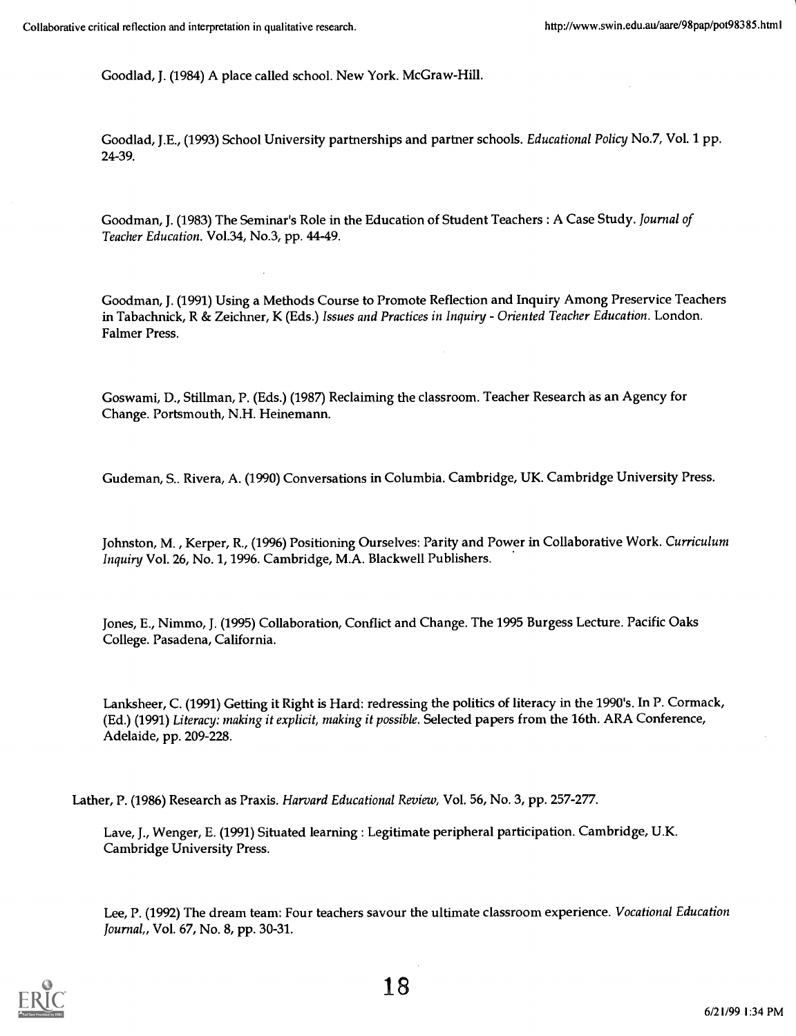Goodlad, J. (1984) A place called school. New York. McGraw-Hill.

Goodlad, J.E., (1993) School University partnerships and partner schools. *Educational Policy* No.7, Vol. 1 pp. 24-39.

Goodman, J. (1983) The Seminar's Role in the Education of Student Teachers : A Case Study. Journal of Teacher Education. Vol.34, No.3, pp. 44-49.

Goodman, J. (1991) Using a Methods Course to Promote Reflection and Inquiry Among Preservice Teachers in Tabachnick, R & Zeichner, K (Eds.) Issues and Practices in Inquiry - Oriented Teacher Education. London. Falmer Press.

Goswami, D., Stillman, P. (Eds.) (1987) Reclaiming the classroom. Teacher Research as an Agency for Change. Portsmouth, N.H. Heinemann.

Gudeman, S.. Rivera, A. (1990) Conversations in Columbia. Cambridge, UK. Cambridge University Press.

Johnston, M. , Kerper, R., (1996) Positioning Ourselves: Parity and Power in Collaborative Work. Curriculum Inquiry Vol. 26, No. 1, 1996. Cambridge, M.A. Blackwell Publishers.

Jones, E., Nimmo, J. (1995) Collaboration, Conflict and Change. The 1995 Burgess Lecture. Pacific Oaks College. Pasadena, California.

Lanksheer, C. (1991) Getting it Right is Hard: redressing the politics of literacy in the 1990's. In P. Cormack, (Ed.) (1991) Literacy: making it explicit, making it possible. Selected papers from the 16th. ARA Conference, Adelaide, pp. 209-228.

Lather, P. (1986) Research as Praxis. Harvard Educational Review, Vol. 56, No. 3, pp. 257-277.

Lave, J., Wenger, E. (1991) Situated learning : Legitimate peripheral participation. Cambridge, U.K. Cambridge University Press.

Lee, P. (1992) The dream team: Four teachers savour the ultimate classroom experience. Vocational Education Journal,, Vol. 67, No. 8, pp. 30-31.

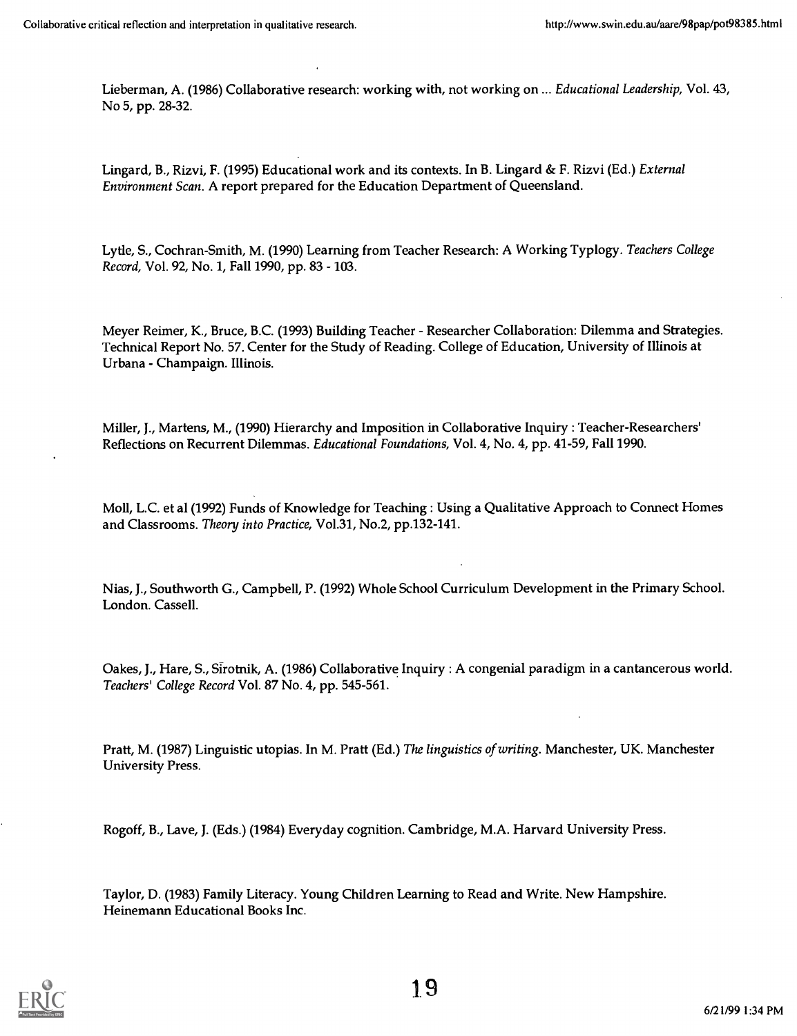Lieberman, A. (1986) Collaborative research: working with, not working on ... Educational Leadership, Vol. 43, No 5, pp. 28-32.

Lingard, B., Rizvi, F. (1995) Educational work and its contexts. In B. Lingard & F. Rizvi (Ed.) External Environment Scan. A report prepared for the Education Department of Queensland.

Lytle, S., Cochran-Smith, M. (1990) Learning from Teacher Research: A Working Typlogy. Teachers College Record, Vol. 92, No. 1, Fall 1990, pp. 83 - 103.

Meyer Reimer, K., Bruce, B.C. (1993) Building Teacher - Researcher Collaboration: Dilemma and Strategies. Technical Report No. 57. Center for the Study of Reading. College of Education, University of Illinois at Urbana - Champaign. Illinois.

Miller, J., Martens, M., (1990) Hierarchy and Imposition in Collaborative Inquiry : Teacher-Researchers' Reflections on Recurrent Dilemmas. Educational Foundations, Vol. 4, No. 4, pp. 41-59, Fall 1990.

Moll, L.C. et al (1992) Funds of Knowledge for Teaching : Using a Qualitative Approach to Connect Homes and Classrooms. Theory into Practice, Vol.31, No.2, pp.132-141.

Nias, J., Southworth G., Campbell, P. (1992) Whole School Curriculum Development in the Primary School. London. Cassell.

Oakes, J., Hare, S., Sirotnik, A. (1986) Collaborative Inquiry : A congenial paradigm in a cantancerous world. Teachers' College Record Vol. 87 No. 4, pp. 545-561.

Pratt, M. (1987) Linguistic utopias. In M. Pratt (Ed.) The linguistics of writing. Manchester, UK. Manchester University Press.

Rogoff, B., Lave, J. (Eds.) (1984) Everyday cognition. Cambridge, M.A. Harvard University Press.

Taylor, D. (1983) Family Literacy. Young Children Learning to Read and Write. New Hampshire. Heinemann Educational Books Inc.

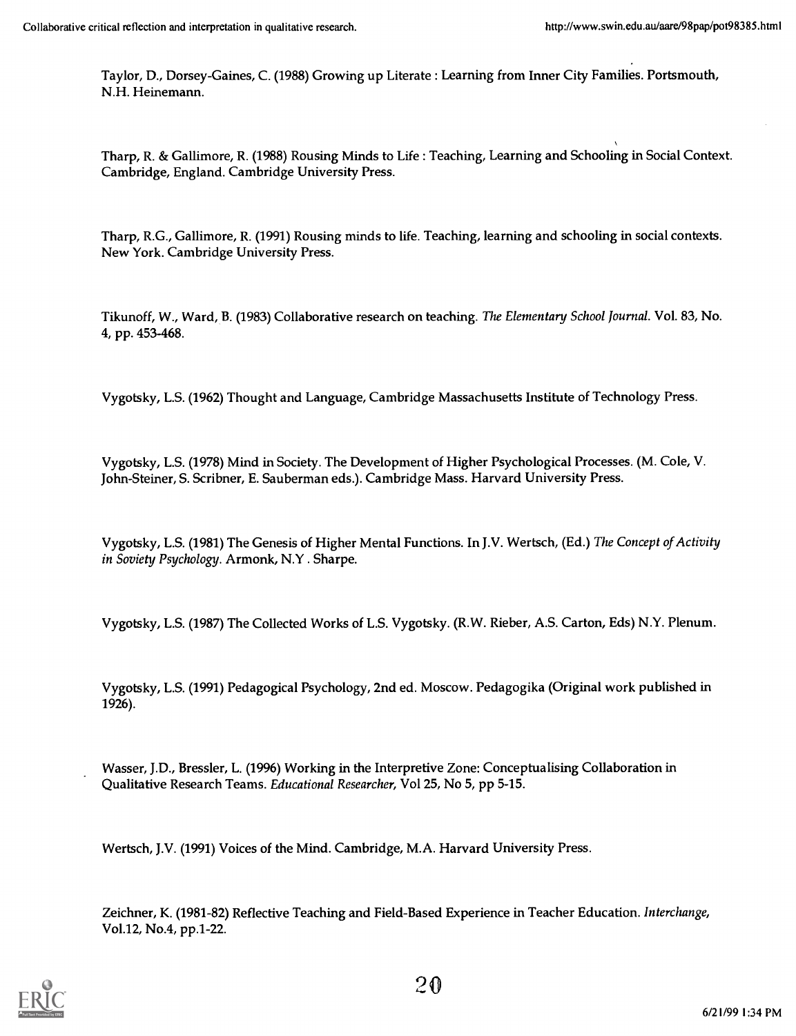Taylor, D., Dorsey-Gaines, C. (1988) Growing up Literate : Learning from Inner City Families. Portsmouth, N.H. Heinemann.

Tharp, R. & Gallimore, R. (1988) Rousing Minds to Life : Teaching, Learning and Schooling in Social Context. Cambridge, England. Cambridge University Press.

Tharp, R.G., Gallimore, R. (1991) Rousing minds to life. Teaching, learning and schooling in social contexts. New York. Cambridge University Press.

Tikunoff, W., Ward, B. (1983) Collaborative research on teaching. The Elementary School Journal. Vol. 83, No. 4, pp. 453-468.

Vygotsky, L.S. (1962) Thought and Language, Cambridge Massachusetts Institute of Technology Press.

Vygotsky, L.S. (1978) Mind in Society. The Development of Higher Psychological Processes. (M. Cole, V. John-Steiner, S. Scribner, E. Sauberman eds.). Cambridge Mass. Harvard University Press.

Vygotsky, L.S. (1981) The Genesis of Higher Mental Functions. In J.V. Wertsch, (Ed.) The Concept of Activity in Soviety Psychology. Armonk, N.Y . Sharpe.

Vygotsky, L.S. (1987) The Collected Works of L.S. Vygotsky. (R.W. Rieber, A.S. Carton, Eds) N.Y. Plenum.

Vygotsky, L.S. (1991) Pedagogical Psychology, 2nd ed. Moscow. Pedagogika (Original work published in 1926).

Wasser, J.D., Bressler, L. (1996) Working in the Interpretive Zone: Conceptualising Collaboration in Qualitative Research Teams. Educational Researcher, Vol 25, No 5, pp 5-15.

Wertsch, J.V. (1991) Voices of the Mind. Cambridge, M.A. Harvard University Press.

Zeichner, K. (1981-82) Reflective Teaching and Field-Based Experience in Teacher Education. Interchange, Vol.12, No.4, pp.1-22.

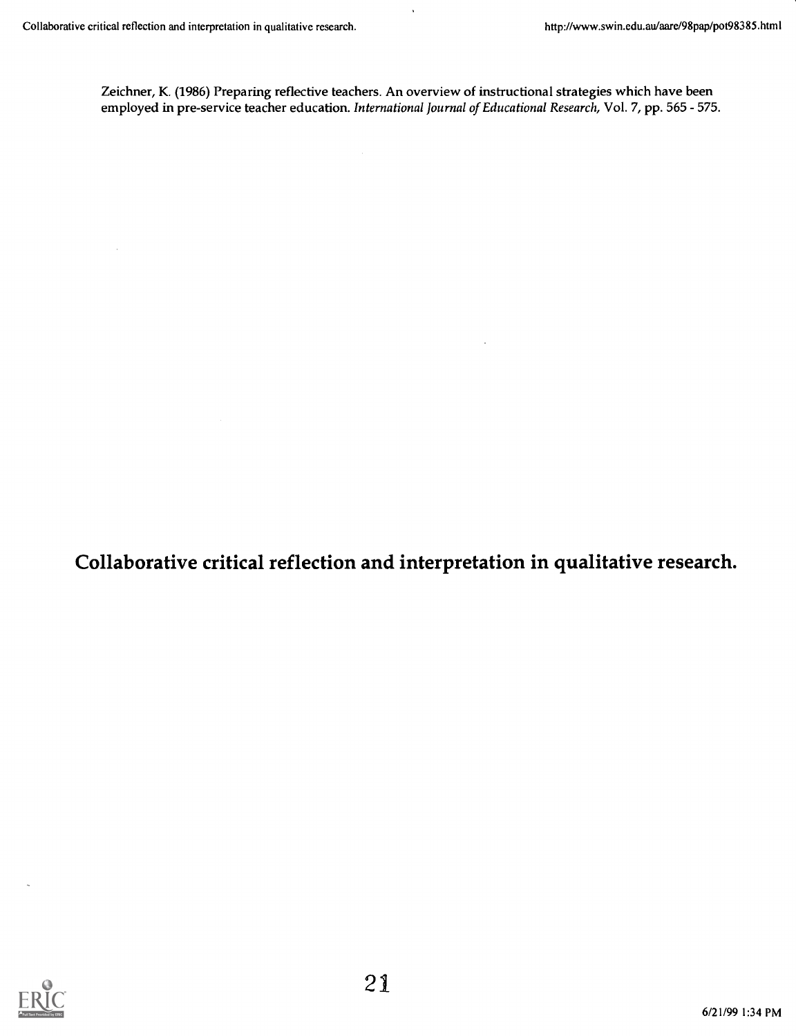Zeichner, K. (1986) Preparing reflective teachers. An overview of instructional strategies which have been employed in pre-service teacher education. International Journal of Educational Research, Vol. 7, pp. 565 - 575.

l,

Collaborative critical reflection and interpretation in qualitative research.

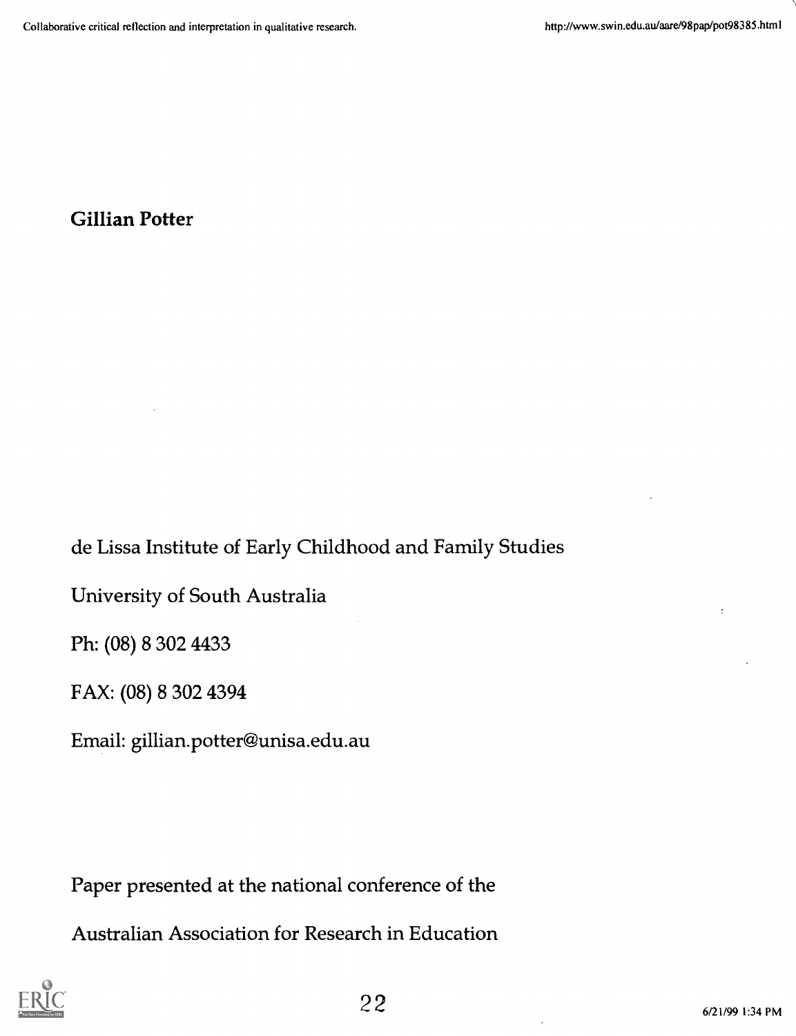# Gillian Potter

de Lissa Institute of Early Childhood and Family Studies

University of South Australia

Ph: (08) 8 302 4433

FAX: (08) 8 302 4394

Email: gillian.potter@unisa.edu.au

Paper presented at the national conference of the

Australian Association for Research in Education

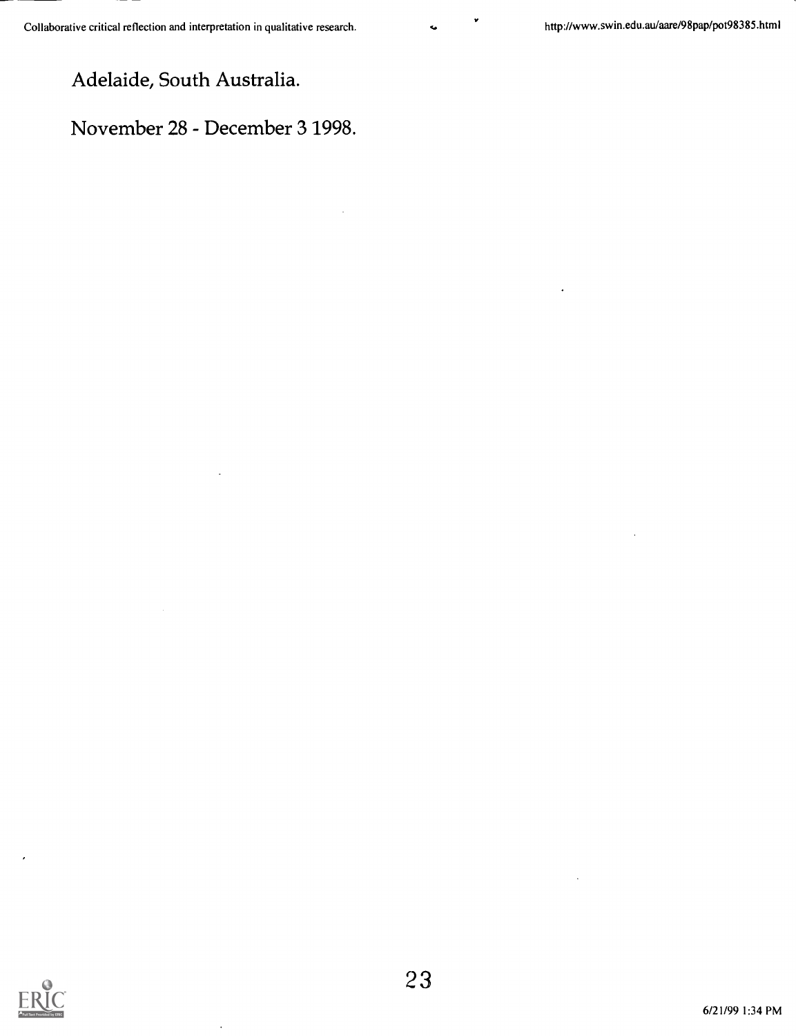Adelaide, South Australia.

November 28 - December 3 1998.